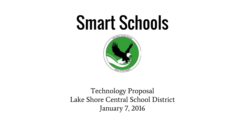# Smart Schools



Technology Proposal Lake Shore Central School District January 7, 2016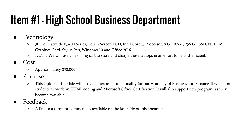# Item #1 - High School Business Department

- Technology
	- 30 Dell Latitude E5400 Series, Touch Screen LCD, Intel Core i5 Processor, 8 GB RAM, 256 GB SSD, NVIDIA Graphics Card, Stylus Pen, Windows 10 and Office 2016
	- NOTE: We will use an existing cart to store and charge these laptops in an effort to be cost efficient.
- Cost
	- Approximately \$30,000
- Purpose
	- This laptop cart update will provide increased functionality for our Academy of Business and Finance. It will allow students to work on HTML coding and Microsoft Office Certification. It will also support new programs as they become available.
- **Feedback** 
	- $\circ$  A link to a form for comments is available on the last slide of this document.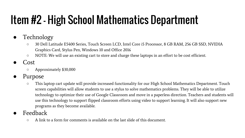# Item #2 - High School Mathematics Department

- Technology
	- 30 Dell Latitude E5400 Series, Touch Screen LCD, Intel Core i5 Processor, 8 GB RAM, 256 GB SSD, NVIDIA Graphics Card, Stylus Pen, Windows 10 and Office 2016
	- NOTE: We will use an existing cart to store and charge these laptops in an effort to be cost efficient.
- Cost
	- Approximately \$30,000
- Purpose
	- This laptop cart update will provide increased functionality for our High School Mathematics Department. Touch screen capabilities will allow students to use a stylus to solve mathematics problems. They will be able to utilize technology to optimize their use of Google Classroom and move in a paperless direction. Teachers and students will use this technology to support flipped classroom efforts using video to support learning. It will also support new programs as they become available.
- **Feedback** 
	- $\circ$  A link to a form for comments is available on the last slide of this document.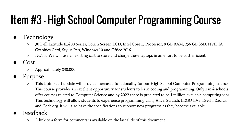# Item #3 - High School Computer Programming Course

- Technology
	- 30 Dell Latitude E5400 Series, Touch Screen LCD, Intel Core i5 Processor, 8 GB RAM, 256 GB SSD, NVIDIA Graphics Card, Stylus Pen, Windows 10 and Office 2016
	- NOTE: We will use an existing cart to store and charge these laptops in an effort to be cost efficient.
- Cost
	- Approximately \$30,000
- Purpose
	- This laptop cart update will provide increased functionality for our High School Computer Programming course. This course provides an excellent opportunity for students to learn coding and programming. Only 1 in 4 schools offer courses related to Computer Science and by 2022 there is predicted to be 1 million available computing jobs. This technology will allow students to experience programming using Alice, Scratch, LEGO EV3, EverFi Radius, and Code.org. It will also have the specifications to support new programs as they become available
- **Feedback** 
	- $\circ$  A link to a form for comments is available on the last slide of this document.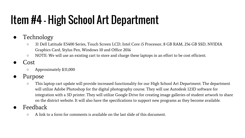# Item #4 - High School Art Department

- Technology
	- 31 Dell Latitude E5400 Series, Touch Screen LCD, Intel Core i5 Processor, 8 GB RAM, 256 GB SSD, NVIDIA Graphics Card, Stylus Pen, Windows 10 and Office 2016
	- NOTE: We will use an existing cart to store and charge these laptops in an effort to be cost efficient.
- Cost
	- Approximately \$31,000
- Purpose
	- This laptop cart update will provide increased functionality for our High School Art Department. The department will utilize Adobe Photoshop for the digital photography course. They will use Autodesk 123D software for integration with a 3D printer. They will utilize Google Drive for creating image galleries of student artwork to share on the district website. It will also have the specifications to support new programs as they become available.
- **Feedback** 
	- $\circ$  A link to a form for comments is available on the last slide of this document.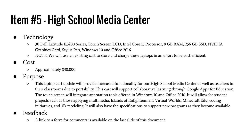# Item #5 - High School Media Center

- Technology
	- 30 Dell Latitude E5400 Series, Touch Screen LCD, Intel Core i5 Processor, 8 GB RAM, 256 GB SSD, NVIDIA Graphics Card, Stylus Pen, Windows 10 and Office 2016
	- NOTE: We will use an existing cart to store and charge these laptops in an effort to be cost efficient.
- Cost
	- Approximately \$30,000
- Purpose
	- This laptop cart update will provide increased functionality for our High School Media Center as well as teachers in their classrooms due to portability. This cart will support collaborative learning through Google Apps for Education. The touch screen will integrate annotation tools offered in Windows 10 and Office 2016. It will allow for student projects such as those applying multimedia, Islands of Enlightenment Virtual Worlds, Minecraft Edu, coding initiatives, and 3D modeling. It will also have the specifications to support new programs as they become available
- **Feedback** 
	- $\circ$  A link to a form for comments is available on the last slide of this document.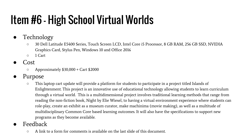# Item #6 - High School Virtual Worlds

- Technology
	- 30 Dell Latitude E5400 Series, Touch Screen LCD, Intel Core i5 Processor, 8 GB RAM, 256 GB SSD, NVIDIA Graphics Card, Stylus Pen, Windows 10 and Office 2016
	- 1 Cart
- Cost
	- $\circ$  Approximately \$30,000 + Cart \$2000
- Purpose
	- This laptop cart update will provide a platform for students to participate in a project titled Islands of Enlightenment. This project is an innovative use of educational technology allowing students to learn curriculum through a virtual world. This is a multidimensional project involves traditional learning methods that range from reading the non-fiction book, Night by Elie Wiesel, to having a virtual environment experience where students can role-play, create an exhibit as a museum curator, make machinima (movie making), as well as a multitude of multidisciplinary Common Core based learning outcomes. It will also have the specifications to support new programs as they become available.
- **Feedback** 
	- $\circ$  A link to a form for comments is available on the last slide of this document.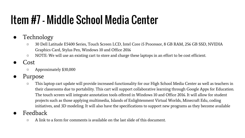#### Item #7 - Middle School Media Center

- Technology
	- 30 Dell Latitude E5400 Series, Touch Screen LCD, Intel Core i5 Processor, 8 GB RAM, 256 GB SSD, NVIDIA Graphics Card, Stylus Pen, Windows 10 and Office 2016
	- NOTE: We will use an existing cart to store and charge these laptops in an effort to be cost efficient.
- Cost
	- Approximately \$30,000
- Purpose
	- This laptop cart update will provide increased functionality for our High School Media Center as well as teachers in their classrooms due to portability. This cart will support collaborative learning through Google Apps for Education. The touch screen will integrate annotation tools offered in Windows 10 and Office 2016. It will allow for student projects such as those applying multimedia, Islands of Enlightenment Virtual Worlds, Minecraft Edu, coding initiatives, and 3D modeling. It will also have the specifications to support new programs as they become available
- **Feedback** 
	- $\circ$  A link to a form for comments is available on the last slide of this document.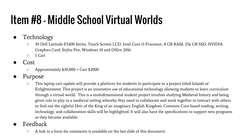## Item #8 - Middle School Virtual Worlds

- Technology
	- 30 Dell Latitude E5400 Series, Touch Screen LCD, Intel Core i5 Processor, 8 GB RAM, 256 GB SSD, NVIDIA Graphics Card, Stylus Pen, Windows 10 and Office 2016
	- 1 Cart
- Cost
	- $\circ$  Approximately \$30,000 + Cart \$2000
- Purpose
	- This laptop cart update will provide a platform for students to participate in a project titled Islands of Enlightenment. This project is an innovative use of educational technology allowing students to learn curriculum through a virtual world. This is a multidimensional student project involves studying Medieval history and being given role to play in a medieval setting whereby they need to collaborate and work together to interact with others to find out the rightful Heir of the King of an imaginary English Kingdom. Common Core based reading, writing, technology, and collaboration skills will be highlighted. It will also have the specifications to support new programs as they become available.
- **Feedback** 
	- A link to a form for comments is available on the last slide of this document.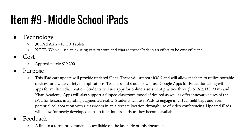### Item #9 - Middle School iPads

- Technology
	- 30 iPad Air 2 16 GB Tablets
	- NOTE: We will use an existing cart to store and charge these iPads in an effort to be cost efficient.
- **Cost** 
	- Approximately \$19,200
- Purpose
	- This iPad cart update will provide updated iPads. These will support iOS 9 and will allow teachers to utilize portable devices for a wide variety of applications. Teachers and students will use Google Apps for Education along with apps for multimedia creation. Students will use apps for online assessment practice through STAR, IXL Math and Khan Academy. Apps will also support a flipped classroom model if desired as well as offer innovative uses of the iPad for lessons integrating augmented reality. Students will use iPads to engage in virtual field trips and even potential collaboration with a classroom in an alternate location through use of video conferencing. Updated iPads will allow for newly developed apps to function properly as they become available.
- **Feedback** 
	- $\circ$  A link to a form for comments is available on the last slide of this document.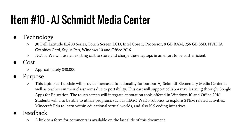#### Item #10 - AJ Schmidt Media Center

- Technology
	- 30 Dell Latitude E5400 Series, Touch Screen LCD, Intel Core i5 Processor, 8 GB RAM, 256 GB SSD, NVIDIA Graphics Card, Stylus Pen, Windows 10 and Office 2016
	- NOTE: We will use an existing cart to store and charge these laptops in an effort to be cost efficient.
- Cost
	- Approximately \$30,000
- Purpose
	- This laptop cart update will provide increased functionality for our our AJ Schmidt Elementary Media Center as well as teachers in their classrooms due to portability. This cart will support collaborative learning through Google Apps for Education. The touch screen will integrate annotation tools offered in Windows 10 and Office 2016. Students will also be able to utilize programs such as LEGO WeDo robotics to explore STEM related activities, Minecraft Edu to learn within educational virtual worlds, and also K-5 coding initiatives.
- **Feedback** 
	- $\circ$  A link to a form for comments is available on the last slide of this document.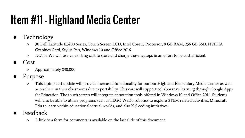# Item #11 - Highland Media Center

- Technology
	- 30 Dell Latitude E5400 Series, Touch Screen LCD, Intel Core i5 Processor, 8 GB RAM, 256 GB SSD, NVIDIA Graphics Card, Stylus Pen, Windows 10 and Office 2016
	- NOTE: We will use an existing cart to store and charge these laptops in an effort to be cost efficient.
- Cost
	- Approximately \$30,000
- Purpose
	- This laptop cart update will provide increased functionality for our our Highland Elementary Media Center as well as teachers in their classrooms due to portability. This cart will support collaborative learning through Google Apps for Education. The touch screen will integrate annotation tools offered in Windows 10 and Office 2016. Students will also be able to utilize programs such as LEGO WeDo robotics to explore STEM related activities, Minecraft Edu to learn within educational virtual worlds, and also K-5 coding initiatives.
- Feedback
	- $\circ$  A link to a form for comments is available on the last slide of this document.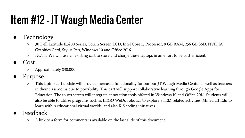# Item #12 - JT Waugh Media Center

- Technology
	- 30 Dell Latitude E5400 Series, Touch Screen LCD, Intel Core i5 Processor, 8 GB RAM, 256 GB SSD, NVIDIA Graphics Card, Stylus Pen, Windows 10 and Office 2016
	- NOTE: We will use an existing cart to store and charge these laptops in an effort to be cost efficient.
- Cost
	- Approximately \$30,000
- Purpose
	- This laptop cart update will provide increased functionality for our our JT Waugh Media Center as well as teachers in their classrooms due to portability. This cart will support collaborative learning through Google Apps for Education. The touch screen will integrate annotation tools offered in Windows 10 and Office 2016. Students will also be able to utilize programs such as LEGO WeDo robotics to explore STEM related activities, Minecraft Edu to learn within educational virtual worlds, and also K-5 coding initiatives.
- **Feedback** 
	- $\circ$  A link to a form for comments is available on the last slide of this document.